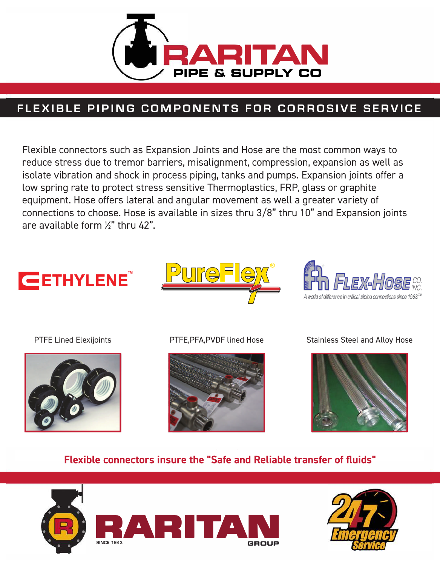

# FLEXIBLE PIPING COMPONENTS FOR CORROSIVE SERVICE

Flexible connectors such as Expansion Joints and Hose are the most common ways to reduce stress due to tremor barriers, misalignment, compression, expansion as well as isolate vibration and shock in process piping, tanks and pumps. Expansion joints offer a low spring rate to protect stress sensitive Thermoplastics, FRP, glass or graphite equipment. Hose offers lateral and angular movement as well a greater variety of connections to choose. Hose is available in sizes thru 3/8" thru 10" and Expansion joints are available form %" thru 42".







**PTFE Lined Elexijoints** 



PTFE, PFA, PVDF lined Hose



**Stainless Steel and Alloy Hose** 



# Flexible connectors insure the "Safe and Reliable transfer of fluids"